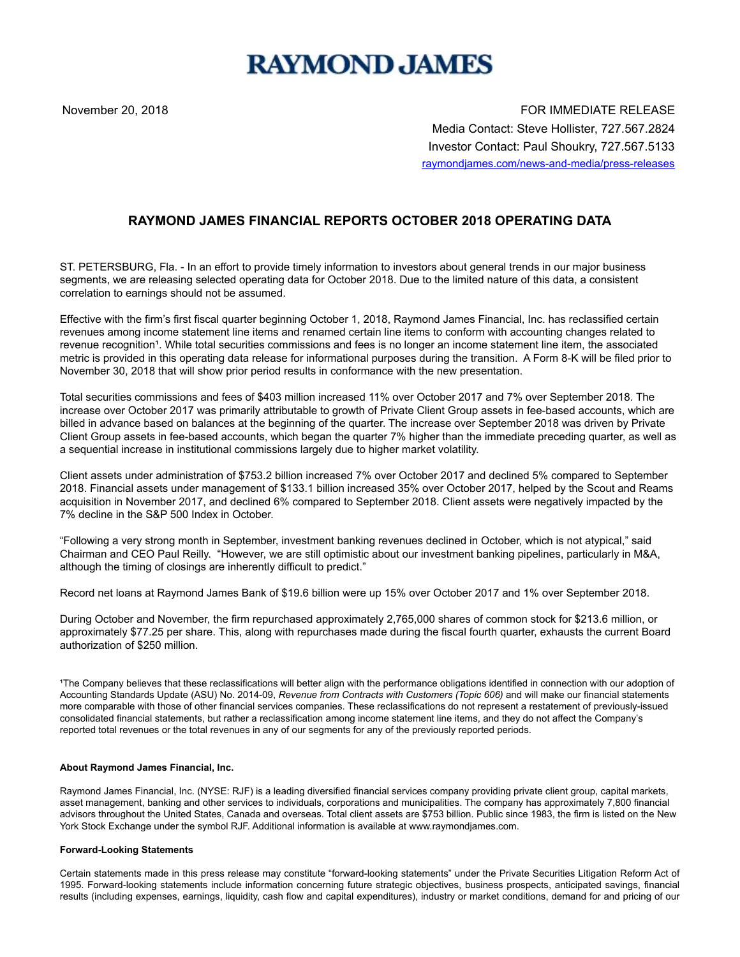## **RAYMOND JAMES**

November 20, 2018 FOR IMMEDIATE RELEASE Media Contact: Steve Hollister, 727.567.2824 Investor Contact: Paul Shoukry, 727.567.5133 raymondjames.com/news-and-media/press-releases

## **RAYMOND JAMES FINANCIAL REPORTS OCTOBER 2018 OPERATING DATA**

ST. PETERSBURG, Fla. - In an effort to provide timely information to investors about general trends in our major business segments, we are releasing selected operating data for October 2018. Due to the limited nature of this data, a consistent correlation to earnings should not be assumed.

Effective with the firm's first fiscal quarter beginning October 1, 2018, Raymond James Financial, Inc. has reclassified certain revenues among income statement line items and renamed certain line items to conform with accounting changes related to revenue recognition<sup>1</sup>. While total securities commissions and fees is no longer an income statement line item, the associated metric is provided in this operating data release for informational purposes during the transition. A Form 8-K will be filed prior to November 30, 2018 that will show prior period results in conformance with the new presentation.

Total securities commissions and fees of \$403 million increased 11% over October 2017 and 7% over September 2018. The increase over October 2017 was primarily attributable to growth of Private Client Group assets in fee-based accounts, which are billed in advance based on balances at the beginning of the quarter. The increase over September 2018 was driven by Private Client Group assets in fee-based accounts, which began the quarter 7% higher than the immediate preceding quarter, as well as a sequential increase in institutional commissions largely due to higher market volatility.

Client assets under administration of \$753.2 billion increased 7% over October 2017 and declined 5% compared to September 2018. Financial assets under management of \$133.1 billion increased 35% over October 2017, helped by the Scout and Reams acquisition in November 2017, and declined 6% compared to September 2018. Client assets were negatively impacted by the 7% decline in the S&P 500 Index in October.

"Following a very strong month in September, investment banking revenues declined in October, which is not atypical," said Chairman and CEO Paul Reilly. "However, we are still optimistic about our investment banking pipelines, particularly in M&A, although the timing of closings are inherently difficult to predict."

Record net loans at Raymond James Bank of \$19.6 billion were up 15% over October 2017 and 1% over September 2018.

During October and November, the firm repurchased approximately 2,765,000 shares of common stock for \$213.6 million, or approximately \$77.25 per share. This, along with repurchases made during the fiscal fourth quarter, exhausts the current Board authorization of \$250 million.

The Company believes that these reclassifications will better align with the performance obligations identified in connection with our adoption of Accounting Standards Update (ASU) No. 2014-09, *Revenue from Contracts with Customers (Topic 606)* and will make our financial statements more comparable with those of other financial services companies. These reclassifications do not represent a restatement of previously-issued consolidated financial statements, but rather a reclassification among income statement line items, and they do not affect the Company's reported total revenues or the total revenues in any of our segments for any of the previously reported periods.

## **About Raymond James Financial, Inc.**

Raymond James Financial, Inc. (NYSE: RJF) is a leading diversified financial services company providing private client group, capital markets, asset management, banking and other services to individuals, corporations and municipalities. The company has approximately 7,800 financial advisors throughout the United States, Canada and overseas. Total client assets are \$753 billion. Public since 1983, the firm is listed on the New York Stock Exchange under the symbol RJF. Additional information is available at www.raymondjames.com.

## **Forward-Looking Statements**

Certain statements made in this press release may constitute "forward-looking statements" under the Private Securities Litigation Reform Act of 1995. Forward-looking statements include information concerning future strategic objectives, business prospects, anticipated savings, financial results (including expenses, earnings, liquidity, cash flow and capital expenditures), industry or market conditions, demand for and pricing of our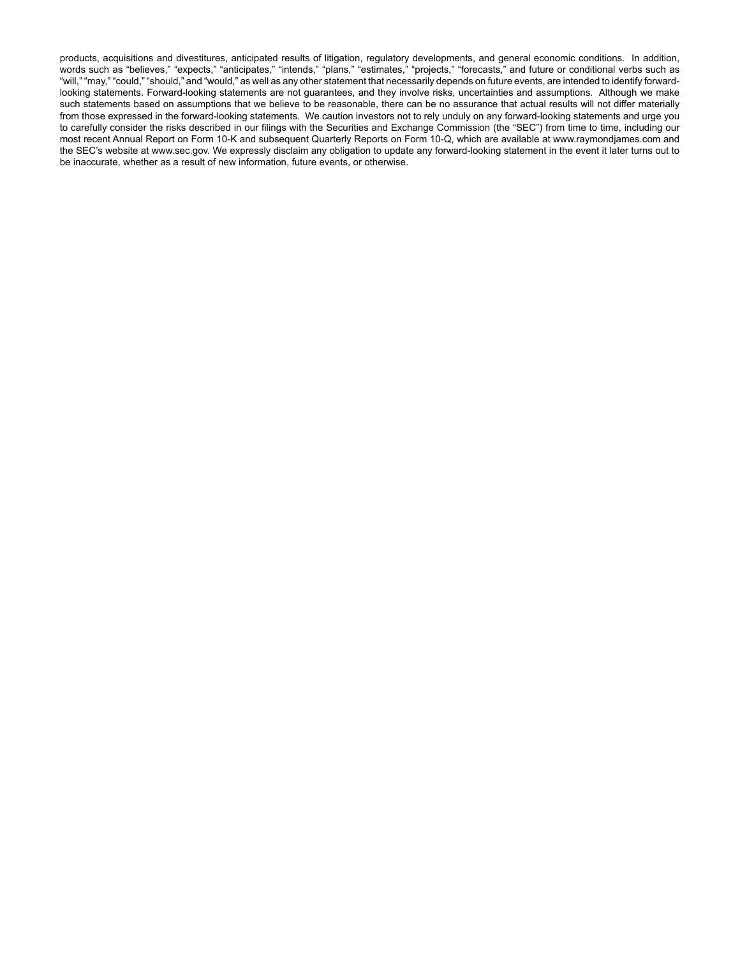products, acquisitions and divestitures, anticipated results of litigation, regulatory developments, and general economic conditions. In addition, words such as "believes," "expects," "anticipates," "intends," "plans," "estimates," "projects," "forecasts," and future or conditional verbs such as "will," "may," "could," "should," and "would," as well as any other statement that necessarily depends on future events, are intended to identify forwardlooking statements. Forward-looking statements are not guarantees, and they involve risks, uncertainties and assumptions. Although we make such statements based on assumptions that we believe to be reasonable, there can be no assurance that actual results will not differ materially from those expressed in the forward-looking statements. We caution investors not to rely unduly on any forward-looking statements and urge you to carefully consider the risks described in our filings with the Securities and Exchange Commission (the "SEC") from time to time, including our most recent Annual Report on Form 10-K and subsequent Quarterly Reports on Form 10-Q, which are available at www.raymondjames.com and the SEC's website at www.sec.gov. We expressly disclaim any obligation to update any forward-looking statement in the event it later turns out to be inaccurate, whether as a result of new information, future events, or otherwise.